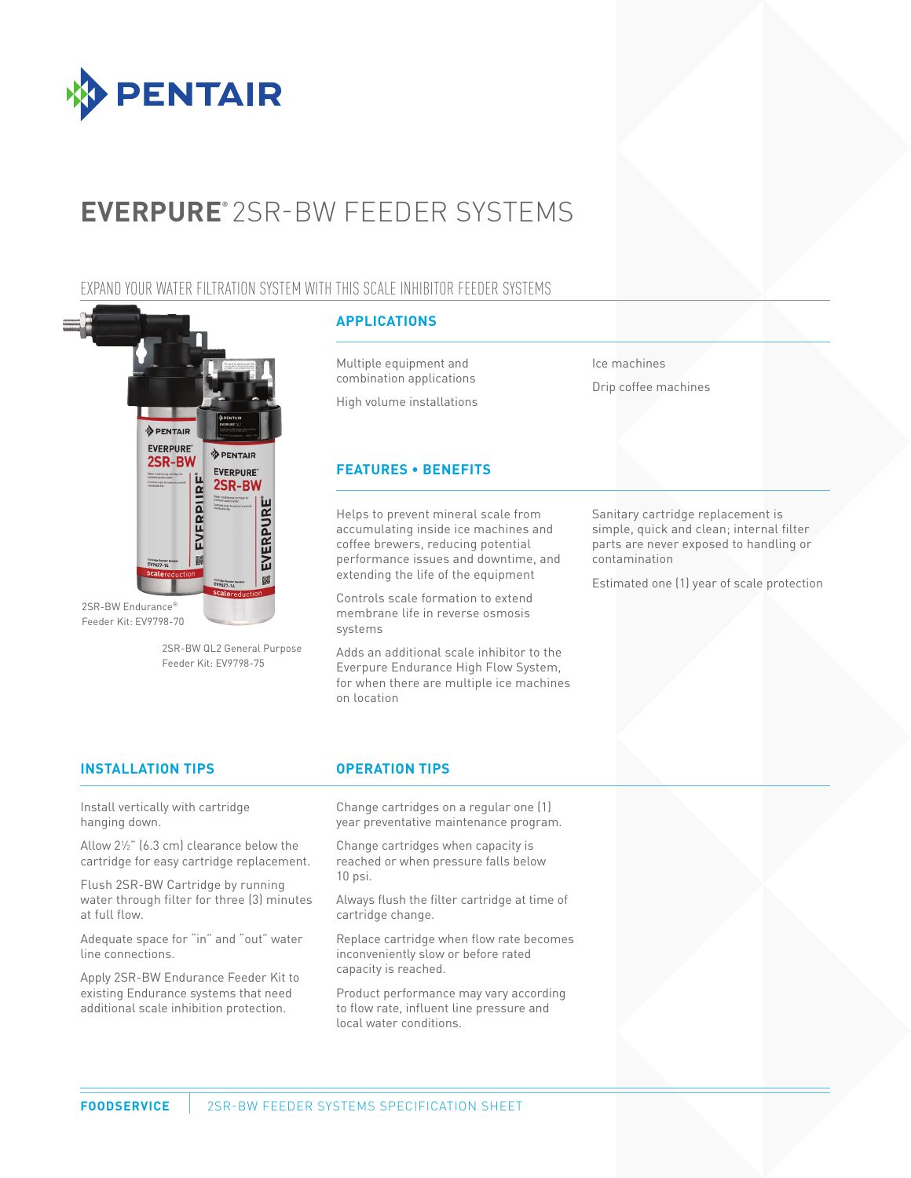

# **EVERPURE®** 2SR-BW FEEDER SYSTEMS

## EXPAND YOUR WATER FILTRATION SYSTEM WITH THIS SCALE INHIBITOR FEEDER SYSTEMS



2SR-BW Endurance® Feeder Kit: EV9798-70

> 2SR-BW QL2 General Purpose Feeder Kit: EV9798-75

## **APPLICATIONS**

Multiple equipment and combination applications

High volume installations

## **FEATURES • BENEFITS**

Helps to prevent mineral scale from accumulating inside ice machines and coffee brewers, reducing potential performance issues and downtime, and extending the life of the equipment

Controls scale formation to extend membrane life in reverse osmosis systems

Adds an additional scale inhibitor to the Everpure Endurance High Flow System, for when there are multiple ice machines on location

Ice machines Drip coffee machines

Sanitary cartridge replacement is simple, quick and clean; internal filter parts are never exposed to handling or contamination

Estimated one (1) year of scale protection

## **INSTALLATION TIPS OPERATION TIPS**

Install vertically with cartridge hanging down.

Allow 21 ⁄2" (6.3 cm) clearance below the cartridge for easy cartridge replacement.

Flush 2SR-BW Cartridge by running water through filter for three (3) minutes at full flow.

Adequate space for "in" and "out" water line connections.

Apply 2SR-BW Endurance Feeder Kit to existing Endurance systems that need additional scale inhibition protection.

Change cartridges on a regular one (1) year preventative maintenance program.

Change cartridges when capacity is reached or when pressure falls below 10 psi.

Always flush the filter cartridge at time of cartridge change.

Replace cartridge when flow rate becomes inconveniently slow or before rated capacity is reached.

Product performance may vary according to flow rate, influent line pressure and local water conditions.